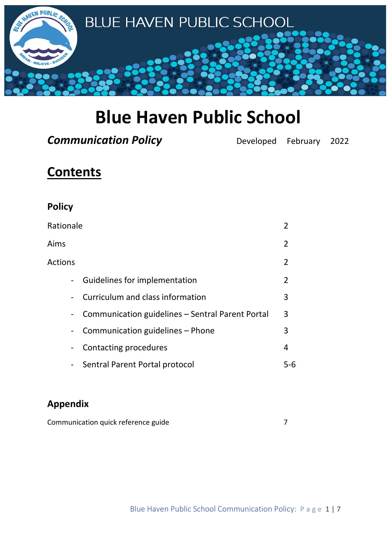

# **Blue Haven Public School**

**Communication Policy Developed February 2022** 

# **Contents**

| <b>Policy</b>                                                                |                |
|------------------------------------------------------------------------------|----------------|
| Rationale                                                                    | 2              |
| Aims                                                                         | $\overline{2}$ |
| <b>Actions</b>                                                               | $\overline{2}$ |
| Guidelines for implementation<br>$\blacksquare$                              | $\overline{2}$ |
| Curriculum and class information<br>$\overline{\phantom{a}}$                 | 3              |
| Communication guidelines - Sentral Parent Portal<br>$\overline{\phantom{a}}$ | 3              |
| Communication guidelines - Phone<br>$\overline{\phantom{a}}$                 | 3              |
| Contacting procedures<br>$\overline{\phantom{a}}$                            | 4              |
| Sentral Parent Portal protocol<br>$\overline{\phantom{a}}$                   | 5-6            |

## **Appendix**

| Communication quick reference guide |  |
|-------------------------------------|--|
|-------------------------------------|--|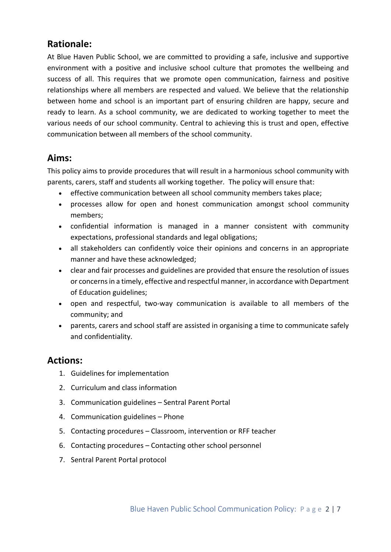#### **Rationale:**

At Blue Haven Public School, we are committed to providing a safe, inclusive and supportive environment with a positive and inclusive school culture that promotes the wellbeing and success of all. This requires that we promote open communication, fairness and positive relationships where all members are respected and valued. We believe that the relationship between home and school is an important part of ensuring children are happy, secure and ready to learn. As a school community, we are dedicated to working together to meet the various needs of our school community. Central to achieving this is trust and open, effective communication between all members of the school community.

#### **Aims:**

This policy aims to provide procedures that will result in a harmonious school community with parents, carers, staff and students all working together. The policy will ensure that:

- effective communication between all school community members takes place;
- processes allow for open and honest communication amongst school community members;
- confidential information is managed in a manner consistent with community expectations, professional standards and legal obligations;
- all stakeholders can confidently voice their opinions and concerns in an appropriate manner and have these acknowledged;
- clear and fair processes and guidelines are provided that ensure the resolution of issues or concerns in a timely, effective and respectful manner, in accordance with Department of Education guidelines;
- open and respectful, two-way communication is available to all members of the community; and
- parents, carers and school staff are assisted in organising a time to communicate safely and confidentiality.

#### **Actions:**

- 1. Guidelines for implementation
- 2. Curriculum and class information
- 3. Communication guidelines Sentral Parent Portal
- 4. Communication guidelines Phone
- 5. Contacting procedures Classroom, intervention or RFF teacher
- 6. Contacting procedures Contacting other school personnel
- 7. Sentral Parent Portal protocol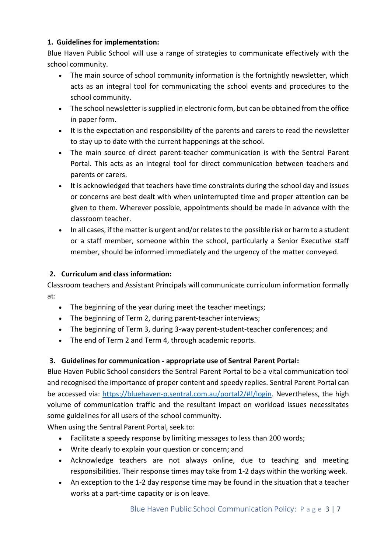#### **1. Guidelines for implementation:**

Blue Haven Public School will use a range of strategies to communicate effectively with the school community.

- The main source of school community information is the fortnightly newsletter, which acts as an integral tool for communicating the school events and procedures to the school community.
- The school newsletter is supplied in electronic form, but can be obtained from the office in paper form.
- It is the expectation and responsibility of the parents and carers to read the newsletter to stay up to date with the current happenings at the school.
- The main source of direct parent-teacher communication is with the Sentral Parent Portal. This acts as an integral tool for direct communication between teachers and parents or carers.
- It is acknowledged that teachers have time constraints during the school day and issues or concerns are best dealt with when uninterrupted time and proper attention can be given to them. Wherever possible, appointments should be made in advance with the classroom teacher.
- In all cases, if the matter is urgent and/or relates to the possible risk or harm to a student or a staff member, someone within the school, particularly a Senior Executive staff member, should be informed immediately and the urgency of the matter conveyed.

#### **2. Curriculum and class information:**

Classroom teachers and Assistant Principals will communicate curriculum information formally at:

- The beginning of the year during meet the teacher meetings;
- The beginning of Term 2, during parent-teacher interviews;
- The beginning of Term 3, during 3-way parent-student-teacher conferences; and
- The end of Term 2 and Term 4, through academic reports.

#### **3. Guidelines for communication - appropriate use of Sentral Parent Portal:**

Blue Haven Public School considers the Sentral Parent Portal to be a vital communication tool and recognised the importance of proper content and speedy replies. Sentral Parent Portal can be accessed via: [https://bluehaven-p.sentral.com.au/portal2/#!/login.](https://bluehaven-p.sentral.com.au/portal2/#!/login) Nevertheless, the high volume of communication traffic and the resultant impact on workload issues necessitates some guidelines for all users of the school community.

When using the Sentral Parent Portal, seek to:

- Facilitate a speedy response by limiting messages to less than 200 words;
- Write clearly to explain your question or concern; and
- Acknowledge teachers are not always online, due to teaching and meeting responsibilities. Their response times may take from 1-2 days within the working week.
- An exception to the 1-2 day response time may be found in the situation that a teacher works at a part-time capacity or is on leave.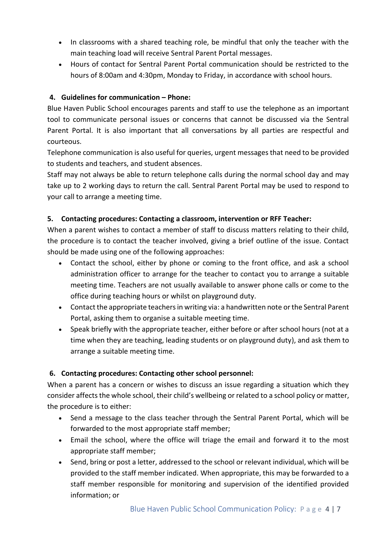- In classrooms with a shared teaching role, be mindful that only the teacher with the main teaching load will receive Sentral Parent Portal messages.
- Hours of contact for Sentral Parent Portal communication should be restricted to the hours of 8:00am and 4:30pm, Monday to Friday, in accordance with school hours.

#### **4. Guidelines for communication – Phone:**

Blue Haven Public School encourages parents and staff to use the telephone as an important tool to communicate personal issues or concerns that cannot be discussed via the Sentral Parent Portal. It is also important that all conversations by all parties are respectful and courteous.

Telephone communication is also useful for queries, urgent messages that need to be provided to students and teachers, and student absences.

Staff may not always be able to return telephone calls during the normal school day and may take up to 2 working days to return the call. Sentral Parent Portal may be used to respond to your call to arrange a meeting time.

#### **5. Contacting procedures: Contacting a classroom, intervention or RFF Teacher:**

When a parent wishes to contact a member of staff to discuss matters relating to their child, the procedure is to contact the teacher involved, giving a brief outline of the issue. Contact should be made using one of the following approaches:

- Contact the school, either by phone or coming to the front office, and ask a school administration officer to arrange for the teacher to contact you to arrange a suitable meeting time. Teachers are not usually available to answer phone calls or come to the office during teaching hours or whilst on playground duty.
- Contact the appropriate teachers in writing via: a handwritten note or the Sentral Parent Portal, asking them to organise a suitable meeting time.
- Speak briefly with the appropriate teacher, either before or after school hours (not at a time when they are teaching, leading students or on playground duty), and ask them to arrange a suitable meeting time.

#### **6. Contacting procedures: Contacting other school personnel:**

When a parent has a concern or wishes to discuss an issue regarding a situation which they consider affects the whole school, their child's wellbeing or related to a school policy or matter, the procedure is to either:

- Send a message to the class teacher through the Sentral Parent Portal, which will be forwarded to the most appropriate staff member;
- Email the school, where the office will triage the email and forward it to the most appropriate staff member;
- Send, bring or post a letter, addressed to the school or relevant individual, which will be provided to the staff member indicated. When appropriate, this may be forwarded to a staff member responsible for monitoring and supervision of the identified provided information; or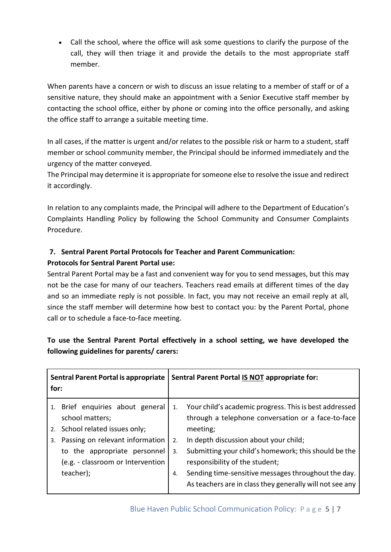• Call the school, where the office will ask some questions to clarify the purpose of the call, they will then triage it and provide the details to the most appropriate staff member.

When parents have a concern or wish to discuss an issue relating to a member of staff or of a sensitive nature, they should make an appointment with a Senior Executive staff member by contacting the school office, either by phone or coming into the office personally, and asking the office staff to arrange a suitable meeting time.

In all cases, if the matter is urgent and/or relates to the possible risk or harm to a student, staff member or school community member, the Principal should be informed immediately and the urgency of the matter conveyed.

The Principal may determine it is appropriate for someone else to resolve the issue and redirect it accordingly.

In relation to any complaints made, the Principal will adhere to the Department of Education's Complaints Handling Policy by following the School Community and Consumer Complaints Procedure.

### **7. Sentral Parent Portal Protocols for Teacher and Parent Communication:**

#### **Protocols for Sentral Parent Portal use:**

Sentral Parent Portal may be a fast and convenient way for you to send messages, but this may not be the case for many of our teachers. Teachers read emails at different times of the day and so an immediate reply is not possible. In fact, you may not receive an email reply at all, since the staff member will determine how best to contact you: by the Parent Portal, phone call or to schedule a face-to-face meeting.

#### **To use the Sentral Parent Portal effectively in a school setting, we have developed the following guidelines for parents/ carers:**

| <b>Sentral Parent Portal is appropriate</b><br>for:                                                                                                                                                              |                      | Sentral Parent Portal IS NOT appropriate for:                                                                                                                                                                                                                                                                                                                                  |
|------------------------------------------------------------------------------------------------------------------------------------------------------------------------------------------------------------------|----------------------|--------------------------------------------------------------------------------------------------------------------------------------------------------------------------------------------------------------------------------------------------------------------------------------------------------------------------------------------------------------------------------|
| 1. Brief enquiries about general<br>school matters;<br>2. School related issues only;<br>Passing on relevant information<br>3.<br>to the appropriate personnel<br>(e.g. - classroom or Intervention<br>teacher); | 1.<br>2.<br>3.<br>4. | Your child's academic progress. This is best addressed<br>through a telephone conversation or a face-to-face<br>meeting;<br>In depth discussion about your child;<br>Submitting your child's homework; this should be the<br>responsibility of the student;<br>Sending time-sensitive messages throughout the day.<br>As teachers are in class they generally will not see any |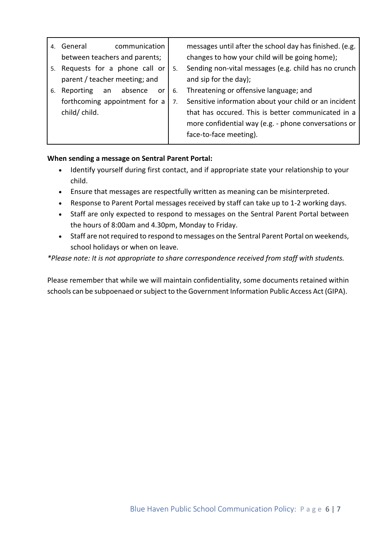| 4. | communication<br>General        |    |    | messages until after the school day has finished. (e.g. |
|----|---------------------------------|----|----|---------------------------------------------------------|
|    | between teachers and parents;   |    |    | changes to how your child will be going home);          |
|    | 5. Requests for a phone call or |    | 5. | Sending non-vital messages (e.g. child has no crunch    |
|    | parent / teacher meeting; and   |    |    | and sip for the day);                                   |
| 6. | absence<br>Reporting<br>an      | or | 6. | Threatening or offensive language; and                  |
|    | forthcoming appointment for a   |    | 7. | Sensitive information about your child or an incident   |
|    | child/child.                    |    |    | that has occured. This is better communicated in a      |
|    |                                 |    |    | more confidential way (e.g. - phone conversations or    |
|    |                                 |    |    | face-to-face meeting).                                  |

#### **When sending a message on Sentral Parent Portal:**

- Identify yourself during first contact, and if appropriate state your relationship to your child.
- Ensure that messages are respectfully written as meaning can be misinterpreted.
- Response to Parent Portal messages received by staff can take up to 1-2 working days.
- Staff are only expected to respond to messages on the Sentral Parent Portal between the hours of 8:00am and 4.30pm, Monday to Friday.
- Staff are not required to respond to messages on the Sentral Parent Portal on weekends, school holidays or when on leave.

*\*Please note: It is not appropriate to share correspondence received from staff with students.*

Please remember that while we will maintain confidentiality, some documents retained within schools can be subpoenaed or subject to the Government Information Public Access Act (GIPA).